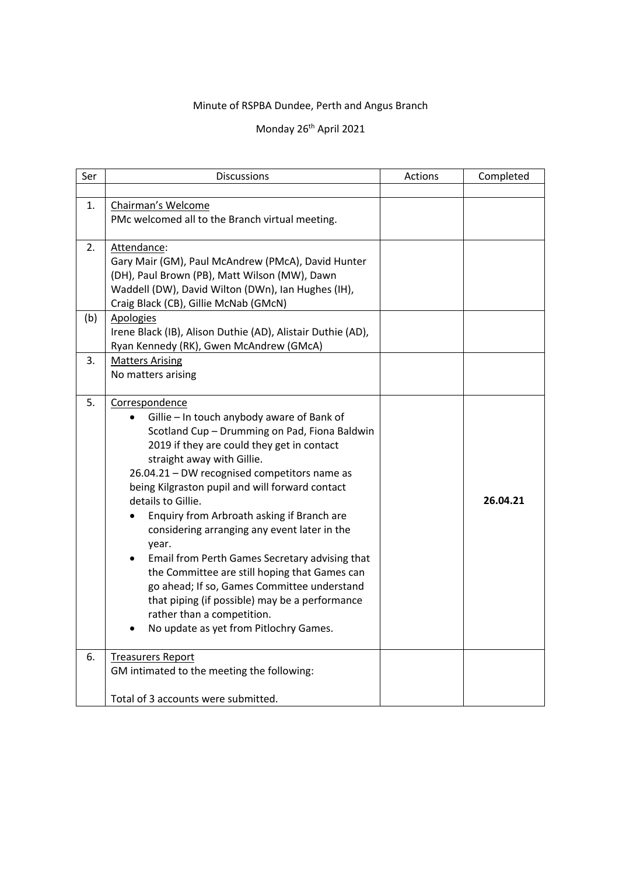## Minute of RSPBA Dundee, Perth and Angus Branch

## Monday 26<sup>th</sup> April 2021

| Ser | <b>Discussions</b>                                                              | Actions | Completed |
|-----|---------------------------------------------------------------------------------|---------|-----------|
|     |                                                                                 |         |           |
| 1.  | Chairman's Welcome                                                              |         |           |
|     | PMc welcomed all to the Branch virtual meeting.                                 |         |           |
| 2.  | Attendance:                                                                     |         |           |
|     | Gary Mair (GM), Paul McAndrew (PMcA), David Hunter                              |         |           |
|     | (DH), Paul Brown (PB), Matt Wilson (MW), Dawn                                   |         |           |
|     | Waddell (DW), David Wilton (DWn), Ian Hughes (IH),                              |         |           |
|     | Craig Black (CB), Gillie McNab (GMcN)                                           |         |           |
| (b) | <b>Apologies</b><br>Irene Black (IB), Alison Duthie (AD), Alistair Duthie (AD), |         |           |
|     | Ryan Kennedy (RK), Gwen McAndrew (GMcA)                                         |         |           |
| 3.  | <b>Matters Arising</b>                                                          |         |           |
|     | No matters arising                                                              |         |           |
|     |                                                                                 |         |           |
| 5.  | Correspondence                                                                  |         |           |
|     | Gillie - In touch anybody aware of Bank of                                      |         |           |
|     | Scotland Cup - Drumming on Pad, Fiona Baldwin                                   |         |           |
|     | 2019 if they are could they get in contact                                      |         |           |
|     | straight away with Gillie.                                                      |         |           |
|     | 26.04.21 - DW recognised competitors name as                                    |         |           |
|     | being Kilgraston pupil and will forward contact<br>details to Gillie.           |         | 26.04.21  |
|     | Enquiry from Arbroath asking if Branch are                                      |         |           |
|     | considering arranging any event later in the                                    |         |           |
|     | year.                                                                           |         |           |
|     | Email from Perth Games Secretary advising that                                  |         |           |
|     | the Committee are still hoping that Games can                                   |         |           |
|     | go ahead; If so, Games Committee understand                                     |         |           |
|     | that piping (if possible) may be a performance                                  |         |           |
|     | rather than a competition.                                                      |         |           |
|     | No update as yet from Pitlochry Games.                                          |         |           |
| 6.  | <b>Treasurers Report</b>                                                        |         |           |
|     | GM intimated to the meeting the following:                                      |         |           |
|     | Total of 3 accounts were submitted.                                             |         |           |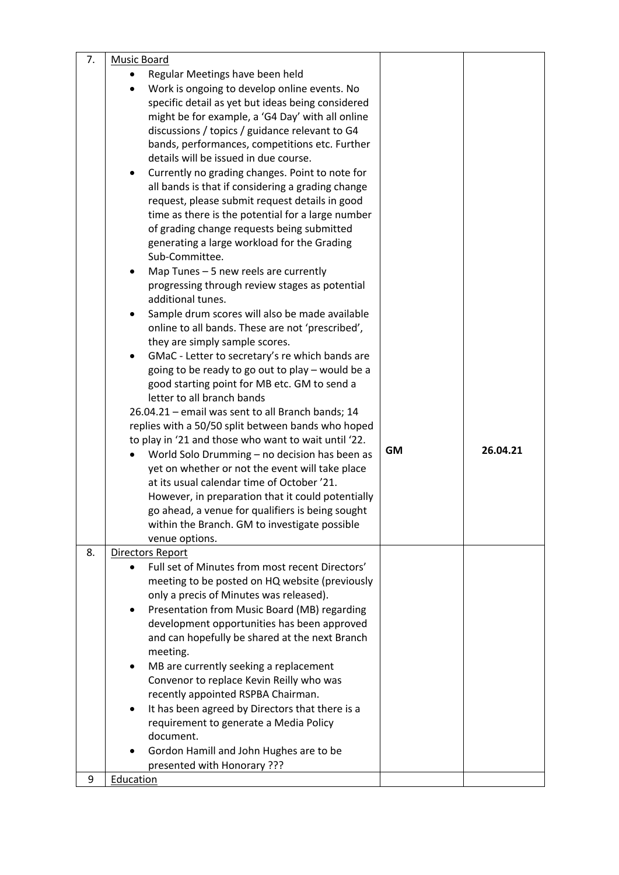| 7. | <b>Music Board</b>                                                                                      |           |          |
|----|---------------------------------------------------------------------------------------------------------|-----------|----------|
|    | Regular Meetings have been held                                                                         |           |          |
|    | Work is ongoing to develop online events. No                                                            |           |          |
|    | specific detail as yet but ideas being considered                                                       |           |          |
|    | might be for example, a 'G4 Day' with all online                                                        |           |          |
|    | discussions / topics / guidance relevant to G4                                                          |           |          |
|    | bands, performances, competitions etc. Further                                                          |           |          |
|    | details will be issued in due course.                                                                   |           |          |
|    | Currently no grading changes. Point to note for                                                         |           |          |
|    | all bands is that if considering a grading change                                                       |           |          |
|    | request, please submit request details in good                                                          |           |          |
|    | time as there is the potential for a large number                                                       |           |          |
|    | of grading change requests being submitted                                                              |           |          |
|    | generating a large workload for the Grading                                                             |           |          |
|    | Sub-Committee.                                                                                          |           |          |
|    | Map Tunes - 5 new reels are currently<br>٠                                                              |           |          |
|    | progressing through review stages as potential                                                          |           |          |
|    | additional tunes.                                                                                       |           |          |
|    | Sample drum scores will also be made available                                                          |           |          |
|    | online to all bands. These are not 'prescribed',                                                        |           |          |
|    | they are simply sample scores.                                                                          |           |          |
|    | GMaC - Letter to secretary's re which bands are<br>٠                                                    |           |          |
|    | going to be ready to go out to play - would be a                                                        |           |          |
|    | good starting point for MB etc. GM to send a                                                            |           |          |
|    | letter to all branch bands                                                                              |           |          |
|    | 26.04.21 - email was sent to all Branch bands; 14<br>replies with a 50/50 split between bands who hoped |           |          |
|    | to play in '21 and those who want to wait until '22.                                                    |           |          |
|    |                                                                                                         |           |          |
|    |                                                                                                         | <b>GM</b> | 26.04.21 |
|    | World Solo Drumming - no decision has been as                                                           |           |          |
|    | yet on whether or not the event will take place                                                         |           |          |
|    | at its usual calendar time of October '21.                                                              |           |          |
|    | However, in preparation that it could potentially                                                       |           |          |
|    | go ahead, a venue for qualifiers is being sought                                                        |           |          |
|    | within the Branch. GM to investigate possible<br>venue options.                                         |           |          |
| 8. | Directors Report                                                                                        |           |          |
|    | Full set of Minutes from most recent Directors'                                                         |           |          |
|    | meeting to be posted on HQ website (previously                                                          |           |          |
|    | only a precis of Minutes was released).                                                                 |           |          |
|    | Presentation from Music Board (MB) regarding<br>$\bullet$                                               |           |          |
|    | development opportunities has been approved                                                             |           |          |
|    | and can hopefully be shared at the next Branch                                                          |           |          |
|    | meeting.                                                                                                |           |          |
|    | MB are currently seeking a replacement<br>٠                                                             |           |          |
|    | Convenor to replace Kevin Reilly who was                                                                |           |          |
|    | recently appointed RSPBA Chairman.                                                                      |           |          |
|    | It has been agreed by Directors that there is a<br>$\bullet$                                            |           |          |
|    | requirement to generate a Media Policy<br>document.                                                     |           |          |
|    | $\bullet$                                                                                               |           |          |
|    | Gordon Hamill and John Hughes are to be<br>presented with Honorary ???                                  |           |          |